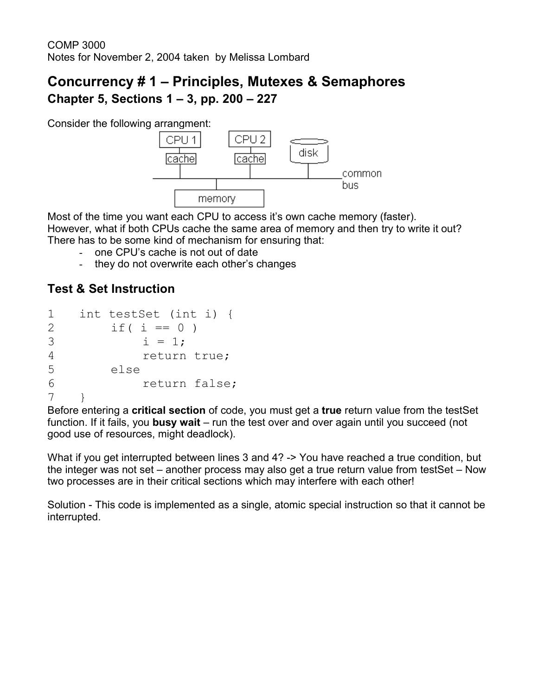## **Concurrency # 1 – Principles, Mutexes & Semaphores Chapter 5, Sections 1 – 3, pp. 200 – 227**

Consider the following arrangment:



Most of the time you want each CPU to access it's own cache memory (faster). However, what if both CPUs cache the same area of memory and then try to write it out? There has to be some kind of mechanism for ensuring that:

- one CPU's cache is not out of date
- they do not overwrite each other's changes

#### **Test & Set Instruction**

```
1 int testSet (int i) {
2 if(i == 0)3 i = 1;4 return true;
5 else
6 return false;
7 }
```
Before entering a **critical section** of code, you must get a **true** return value from the testSet function. If it fails, you **busy wait** – run the test over and over again until you succeed (not good use of resources, might deadlock).

What if you get interrupted between lines 3 and 4? -> You have reached a true condition, but the integer was not set – another process may also get a true return value from testSet – Now two processes are in their critical sections which may interfere with each other!

Solution - This code is implemented as a single, atomic special instruction so that it cannot be interrupted.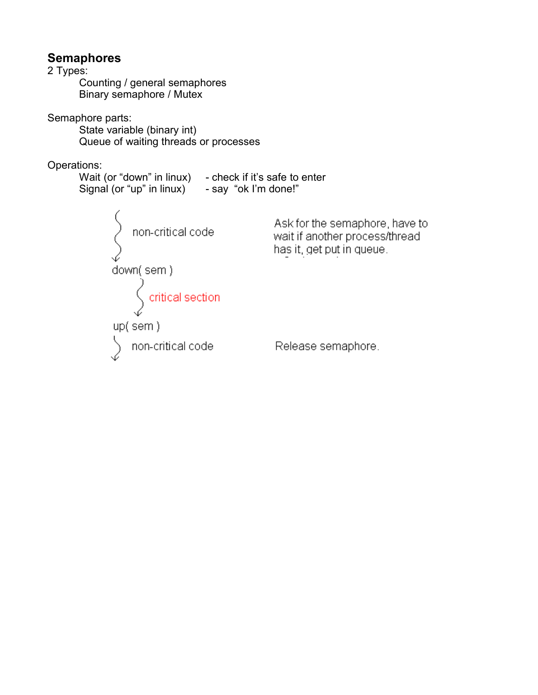#### **Semaphores**

2 Types: Counting / general semaphores Binary semaphore / Mutex Semaphore parts: State variable (binary int) Queue of waiting threads or processes Operations: Wait (or "down" in linux) - check if it's safe to enter Signal (or "up" in linux)  $-$  say "ok I'm done!" Ask for the semaphore, have to non-critical code wait if another process/thread has it, get put in queue.  $\begin{array}{c} \text{down}(\text{sem}) \\ \text{critical section} \end{array}$  $up(sem)$ non-critical code Release semaphore.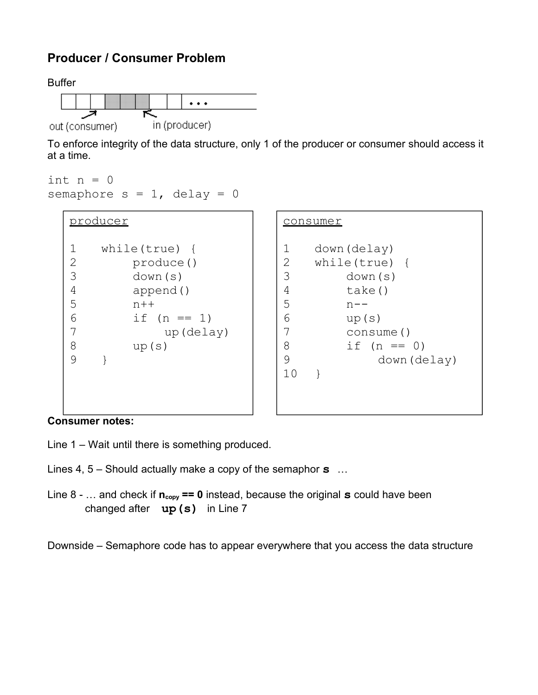### **Producer / Consumer Problem**



To enforce integrity of the data structure, only 1 of the producer or consumer should access it at a time.

```
int n = 0semaphore s = 1, delay = 0
```

| producer                                                      |                                                                                                     |
|---------------------------------------------------------------|-----------------------------------------------------------------------------------------------------|
| 1<br>$\frac{2}{3}$<br>$\overline{4}$<br>5<br>6<br>7<br>8<br>9 | while(true)<br>produce()<br>down (s)<br>append()<br>$n + +$<br>if $(n == 1)$<br>up (delay)<br>up(s) |
|                                                               |                                                                                                     |

# consumer 1 down(delay)<br>2 while(true) 2 while(true) {<br>3 down(s) down(s) 4 take()  $5$  n-- $6 \qquad \qquad \text{up}(s)$ 7 consume()  $8 \t\t \text{if} (n == 0)$ 9 down(delay) 10 }

**Consumer notes:**

 $\overline{\Gamma}$ 

Line 1 – Wait until there is something produced.

Lines 4, 5 – Should actually make a copy of the semaphor **s** …

Line  $8 - ...$  and check if  $n_{copy} == 0$  instead, because the original **s** could have been changed after **up(s)** in Line 7

Downside – Semaphore code has to appear everywhere that you access the data structure